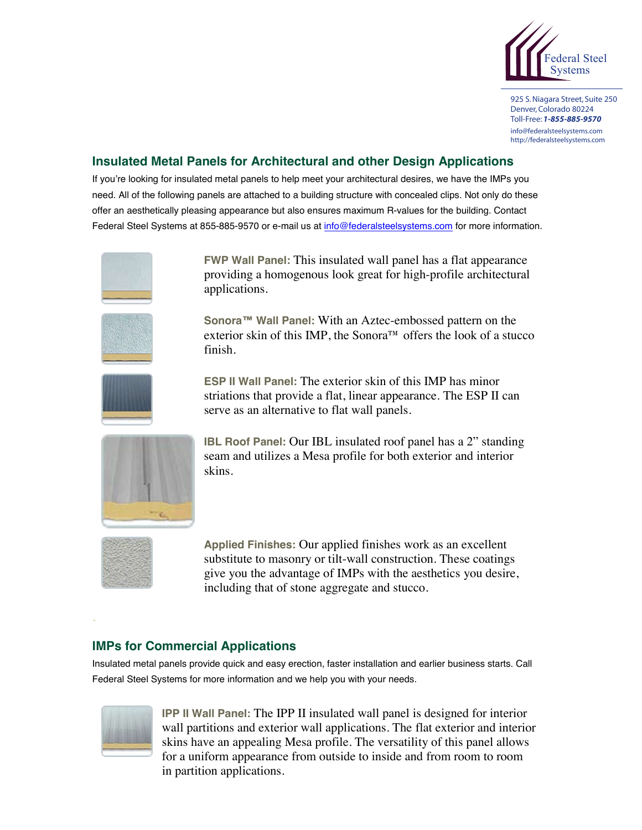

925 S. Niagara Street, Suite 250 Denver,Colorado 80224 Toll-Free: *1-855-885-9570* info@federalsteelsystems.com http://federalsteelsystems.com

## **Insulated Metal Panels for Architectural and other Design Applications**

If you're looking for insulated metal panels to help meet your architectural desires, we have the IMPs you need. All of the following panels are attached to a building structure with concealed clips. Not only do these offer an aesthetically pleasing appearance but also ensures maximum R-values for the building. Contact Federal Steel Systems at 855-885-9570 or e-mail us at info@federalsteelsystems.com for more information.



**FWP Wall Panel:** This insulated wall panel has a flat appearance providing a homogenous look great for high-profile architectural applications.



**Sonora™ Wall Panel:** With an Aztec-embossed pattern on the exterior skin of this IMP, the Sonora™ offers the look of a stucco finish.



**ESP II Wall Panel:** The exterior skin of this IMP has minor striations that provide a flat, linear appearance. The ESP II can serve as an alternative to flat wall panels.



**IBL Roof Panel:** Our IBL insulated roof panel has a 2" standing seam and utilizes a Mesa profile for both exterior and interior skins.



**Applied Finishes:** Our applied finishes work as an excellent substitute to masonry or tilt-wall construction. These coatings give you the advantage of IMPs with the aesthetics you desire, including that of stone aggregate and stucco.

## **IMPs for Commercial Applications**

Insulated metal panels provide quick and easy erection, faster installation and earlier business starts. Call Federal Steel Systems for more information and we help you with your needs.



**IPP II Wall Panel:** The IPP II insulated wall panel is designed for interior wall partitions and exterior wall applications. The flat exterior and interior skins have an appealing Mesa profile. The versatility of this panel allows for a uniform appearance from outside to inside and from room to room in partition applications.